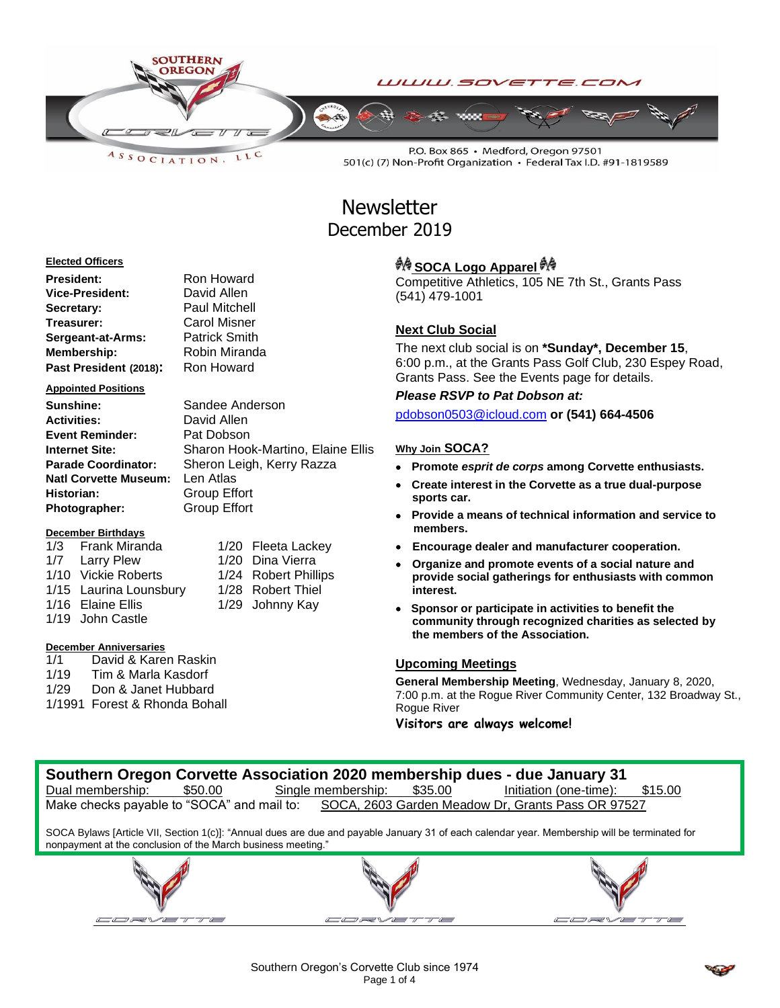

LLC  $A S S O C IAT I O N$ 

P.O. Box 865 · Medford, Oregon 97501 501(c) (7) Non-Profit Organization · Federal Tax I.D. #91-1819589

# **Newsletter** December 2019

## **Elected Officers**

| President:             | Ron Howard           |
|------------------------|----------------------|
| Vice-President:        | David Allen          |
| Secretary:             | <b>Paul Mitchell</b> |
| Treasurer:             | Carol Misner         |
| Sergeant-at-Arms:      | <b>Patrick Smith</b> |
| <b>Membership:</b>     | Robin Miranda        |
| Past President (2018): | Ron Howard           |

**Appointed Positions**

**Sunshine:** Sandee Anderson **Activities:** David Allen **Event Reminder:** Pat Dobson **Internet Site:** Sharon Hook-Martino, Elaine Ellis **Parade Coordinator:** Sheron Leigh, Kerry Razza **Natl Corvette Museum:** Len Atlas **Historian:** Group Effort **Photographer:** Group Effort

## **December Birthdays**

1/3 Frank Miranda 1/20 Fleeta Lackey 1/7 Larry Plew 1/20 Dina Vierra 1/10 Vickie Roberts 1/24 Robert Phillips 1/15 Laurina Lounsbury 1/28 Robert Thiel 1/16 Elaine Ellis 1/29 Johnny Kay 1/19 John Castle

# **December Anniversaries**

1/1 David & Karen Raskin 1/19 Tim & Marla Kasdorf 1/29 Don & Janet Hubbard 1/1991 Forest & Rhonda Bohall

# *ै*एक SOCA Logo Apparel

Competitive Athletics, 105 NE 7th St., Grants Pass (541) 479-1001

# **Next Club Social**

The next club social is on **\*Sunday\*, December 15**, 6:00 p.m., at the Grants Pass Golf Club, 230 Espey Road, Grants Pass. See the Events page for details.

# *Please RSVP to Pat Dobson at:*

[pdobson0503@icloud.com](mailto:pdobson0503@icloud.com) **or (541) 664-4506**

# **Why Join SOCA?**

- **Promote** *esprit de corps* **among Corvette enthusiasts.**
- **Create interest in the Corvette as a true dual-purpose sports car.**
- **Provide a means of technical information and service to members.**
- **Encourage dealer and manufacturer cooperation.**
- **Organize and promote events of a social nature and provide social gatherings for enthusiasts with common interest.**
- **Sponsor or participate in activities to benefit the community through recognized charities as selected by the members of the Association.**

# **Upcoming Meetings**

**General Membership Meeting**, Wednesday, January 8, 2020, 7:00 p.m. at the Rogue River Community Center, 132 Broadway St., Rogue River

**Visitors are always welcome!**



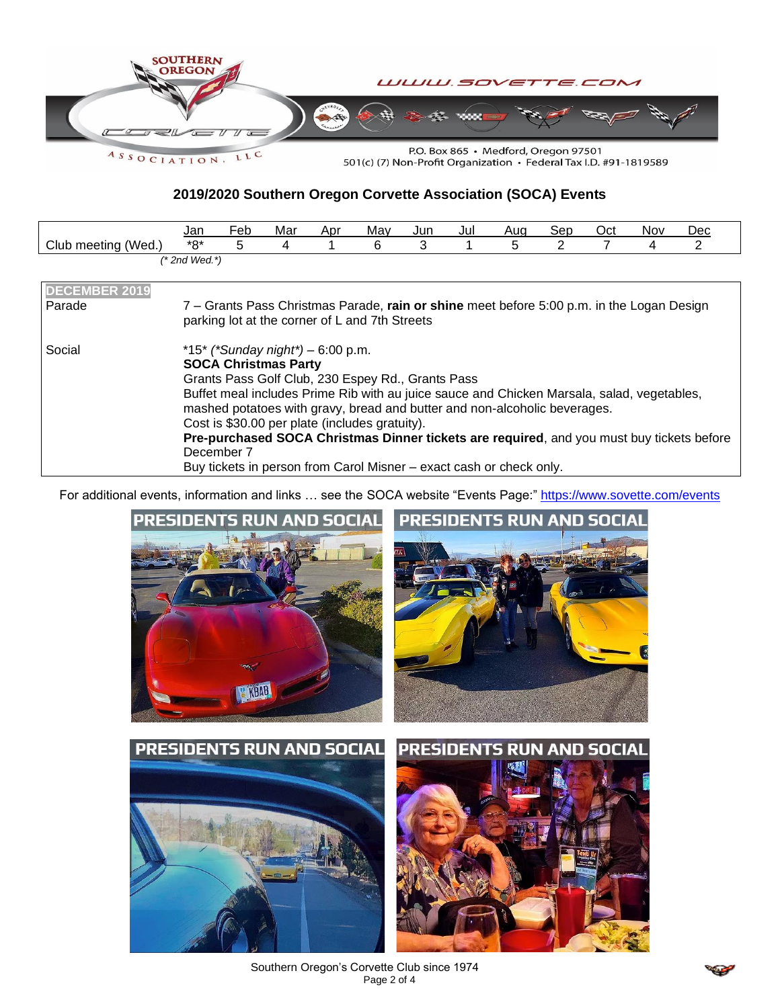

**2019/2020 Southern Oregon Corvette Association (SOCA) Events**

|                            | Jan               | $\overline{\phantom{0}}$<br>Feb | Mar | Apr | May | Jun | Jul | Aug | Sep | Oct | <b>Nov</b> | Dec |
|----------------------------|-------------------|---------------------------------|-----|-----|-----|-----|-----|-----|-----|-----|------------|-----|
| (Wed.)<br>Club<br>⊧meeting | $*$ 0*<br>ັ       |                                 |     |     |     |     |     |     |     |     |            | _   |
|                            | $(*$ 2nd Wed. $*$ |                                 |     |     |     |     |     |     |     |     |            |     |

| <b>DECEMBER 2019</b><br>Parade | 7 – Grants Pass Christmas Parade, rain or shine meet before 5:00 p.m. in the Logan Design<br>parking lot at the corner of L and 7th Streets                                                                                                                                                                                                                                                                                                                                                                                          |
|--------------------------------|--------------------------------------------------------------------------------------------------------------------------------------------------------------------------------------------------------------------------------------------------------------------------------------------------------------------------------------------------------------------------------------------------------------------------------------------------------------------------------------------------------------------------------------|
| Social                         | *15* (*Sunday night*) – 6:00 p.m.<br><b>SOCA Christmas Party</b><br>Grants Pass Golf Club, 230 Espey Rd., Grants Pass<br>Buffet meal includes Prime Rib with au juice sauce and Chicken Marsala, salad, vegetables,<br>mashed potatoes with gravy, bread and butter and non-alcoholic beverages.<br>Cost is \$30.00 per plate (includes gratuity).<br>Pre-purchased SOCA Christmas Dinner tickets are required, and you must buy tickets before<br>December 7<br>Buy tickets in person from Carol Misner - exact cash or check only. |

For additional events, information and links ... see the SOCA website "Events Page:"<https://www.sovette.com/events>





Southern Oregon's Corvette Club since 1974 Page 2 of 4

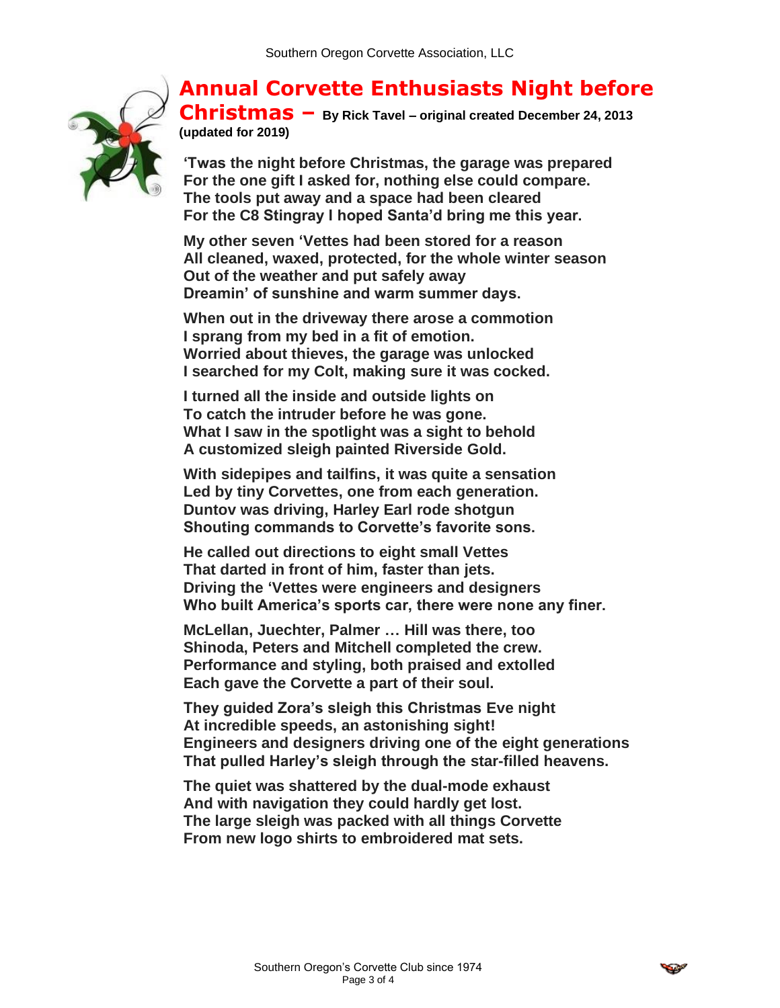**Annual Corvette Enthusiasts Night before** 

**Christmas – B[y Rick Tavel](https://www.corvetteforum.com/articles/author/rtavel/) – original created December 24, 2013 (updated for 2019)**

**'Twas the night before Christmas, the garage was prepared For the one gift I asked for, nothing else could compare. The tools put away and a space had been cleared For the C8 Stingray I hoped Santa'd bring me this year.**

**My other seven 'Vettes had been stored for a reason All cleaned, waxed, protected, for the whole winter season Out of the weather and put safely away Dreamin' of sunshine and warm summer days.**

**When out in the driveway there arose a commotion I sprang from my bed in a fit of emotion. Worried about thieves, the garage was unlocked I searched for my Colt, making sure it was cocked.**

**I turned all the inside and outside lights on To catch the intruder before he was gone. What I saw in the spotlight was a sight to behold A customized sleigh painted Riverside Gold.**

**With sidepipes and tailfins, it was quite a sensation Led by tiny Corvettes, one from each generation. Duntov was driving, Harley Earl rode shotgun Shouting commands to Corvette's favorite sons.**

**He called out directions to eight small Vettes That darted in front of him, faster than jets. Driving the 'Vettes were engineers and designers Who built America's sports car, there were none any finer.**

**McLellan, Juechter, Palmer … Hill was there, too Shinoda, Peters and Mitchell completed the crew. Performance and styling, both praised and extolled Each gave the Corvette a part of their soul.**

**They guided Zora's sleigh this Christmas Eve night At incredible speeds, an astonishing sight! Engineers and designers driving one of the eight generations That pulled Harley's sleigh through the star-filled heavens.**

**The quiet was shattered by the dual-mode exhaust And with navigation they could hardly get lost. The large sleigh was packed with all things Corvette From new logo shirts to embroidered mat sets.**